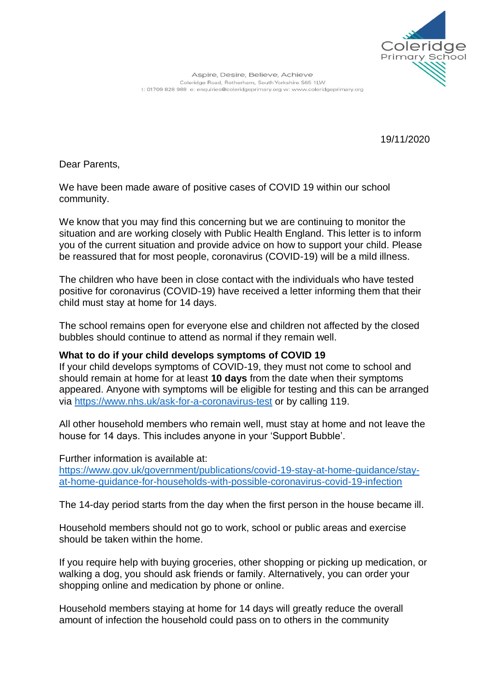

Aspire, Desire, Believe, Achieve Coleridge Road, Rotherham, South Yorkshire S65 1LW t: 01709 828 988 e: enquiries@coleridgeprimary.org w: www.coleridgeprimary.org

19/11/2020

Dear Parents,

We have been made aware of positive cases of COVID 19 within our school community.

We know that you may find this concerning but we are continuing to monitor the situation and are working closely with Public Health England. This letter is to inform you of the current situation and provide advice on how to support your child. Please be reassured that for most people, coronavirus (COVID-19) will be a mild illness.

The children who have been in close contact with the individuals who have tested positive for coronavirus (COVID-19) have received a letter informing them that their child must stay at home for 14 days.

The school remains open for everyone else and children not affected by the closed bubbles should continue to attend as normal if they remain well.

# **What to do if your child develops symptoms of COVID 19**

If your child develops symptoms of COVID-19, they must not come to school and should remain at home for at least **10 days** from the date when their symptoms appeared. Anyone with symptoms will be eligible for testing and this can be arranged via<https://www.nhs.uk/ask-for-a-coronavirus-test> or by calling 119.

All other household members who remain well, must stay at home and not leave the house for 14 days. This includes anyone in your 'Support Bubble'.

Further information is available at:

[https://www.gov.uk/government/publications/covid-19-stay-at-home-guidance/stay](https://www.gov.uk/government/publications/covid-19-stay-at-home-guidance/stay-at-home-guidance-for-households-with-possible-coronavirus-covid-19-infection)[at-home-guidance-for-households-with-possible-coronavirus-covid-19-infection](https://www.gov.uk/government/publications/covid-19-stay-at-home-guidance/stay-at-home-guidance-for-households-with-possible-coronavirus-covid-19-infection)

The 14-day period starts from the day when the first person in the house became ill.

Household members should not go to work, school or public areas and exercise should be taken within the home.

If you require help with buying groceries, other shopping or picking up medication, or walking a dog, you should ask friends or family. Alternatively, you can order your shopping online and medication by phone or online.

Household members staying at home for 14 days will greatly reduce the overall amount of infection the household could pass on to others in the community